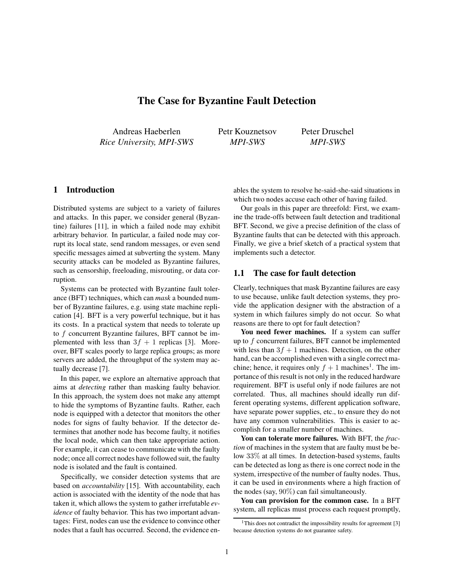# **The Case for Byzantine Fault Detection**

Andreas Haeberlen *Rice University, MPI-SWS* Petr Kouznetsov *MPI-SWS*

Peter Druschel *MPI-SWS*

### **1 Introduction**

Distributed systems are subject to a variety of failures and attacks. In this paper, we consider general (Byzantine) failures [11], in which a failed node may exhibit arbitrary behavior. In particular, a failed node may corrupt its local state, send random messages, or even send specific messages aimed at subverting the system. Many security attacks can be modeled as Byzantine failures, such as censorship, freeloading, misrouting, or data corruption.

Systems can be protected with Byzantine fault tolerance (BFT) techniques, which can *mask* a bounded number of Byzantine failures, e.g. using state machine replication [4]. BFT is a very powerful technique, but it has its costs. In a practical system that needs to tolerate up to  $f$  concurrent Byzantine failures, BFT cannot be implemented with less than  $3f + 1$  replicas [3]. Moreover, BFT scales poorly to large replica groups; as more servers are added, the throughput of the system may actually decrease [7].

In this paper, we explore an alternative approach that aims at *detecting* rather than masking faulty behavior. In this approach, the system does not make any attempt to hide the symptoms of Byzantine faults. Rather, each node is equipped with a detector that monitors the other nodes for signs of faulty behavior. If the detector determines that another node has become faulty, it notifies the local node, which can then take appropriate action. For example, it can cease to communicate with the faulty node; once all correct nodes have followed suit, the faulty node is isolated and the fault is contained.

Specifically, we consider detection systems that are based on *accountability* [15]. With accountability, each action is associated with the identity of the node that has taken it, which allows the system to gather irrefutable *evidence* of faulty behavior. This has two important advantages: First, nodes can use the evidence to convince other nodes that a fault has occurred. Second, the evidence enables the system to resolve he-said-she-said situations in which two nodes accuse each other of having failed.

Our goals in this paper are threefold: First, we examine the trade-offs between fault detection and traditional BFT. Second, we give a precise definition of the class of Byzantine faults that can be detected with this approach. Finally, we give a brief sketch of a practical system that implements such a detector.

### **1.1 The case for fault detection**

Clearly, techniques that mask Byzantine failures are easy to use because, unlike fault detection systems, they provide the application designer with the abstraction of a system in which failures simply do not occur. So what reasons are there to opt for fault detection?

**You need fewer machines.** If a system can suffer up to f concurrent failures, BFT cannot be implemented with less than  $3f + 1$  machines. Detection, on the other hand, can be accomplished even with a single correct machine; hence, it requires only  $f + 1$  machines<sup>1</sup>. The importance of this result is not only in the reduced hardware requirement. BFT is useful only if node failures are not correlated. Thus, all machines should ideally run different operating systems, different application software, have separate power supplies, etc., to ensure they do not have any common vulnerabilities. This is easier to accomplish for a smaller number of machines.

**You can tolerate more failures.** With BFT, the *fraction* of machines in the system that are faulty must be below 33% at all times. In detection-based systems, faults can be detected as long as there is one correct node in the system, irrespective of the number of faulty nodes. Thus, it can be used in environments where a high fraction of the nodes (say, 90%) can fail simultaneously.

**You can provision for the common case.** In a BFT system, all replicas must process each request promptly,

<sup>&</sup>lt;sup>1</sup>This does not contradict the impossibility results for agreement [3] because detection systems do not guarantee safety.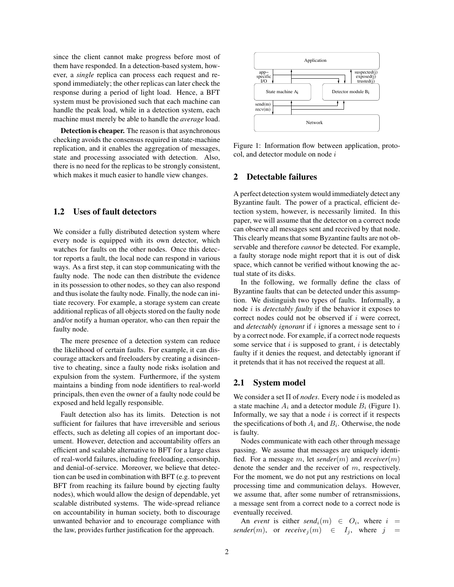since the client cannot make progress before most of them have responded. In a detection-based system, however, a *single* replica can process each request and respond immediately; the other replicas can later check the response during a period of light load. Hence, a BFT system must be provisioned such that each machine can handle the peak load, while in a detection system, each machine must merely be able to handle the *average* load.

**Detection is cheaper.** The reason is that asynchronous checking avoids the consensus required in state-machine replication, and it enables the aggregation of messages, state and processing associated with detection. Also, there is no need for the replicas to be strongly consistent, which makes it much easier to handle view changes.

# **1.2 Uses of fault detectors**

We consider a fully distributed detection system where every node is equipped with its own detector, which watches for faults on the other nodes. Once this detector reports a fault, the local node can respond in various ways. As a first step, it can stop communicating with the faulty node. The node can then distribute the evidence in its possession to other nodes, so they can also respond and thus isolate the faulty node. Finally, the node can initiate recovery. For example, a storage system can create additional replicas of all objects stored on the faulty node and/or notify a human operator, who can then repair the faulty node.

The mere presence of a detection system can reduce the likelihood of certain faults. For example, it can discourage attackers and freeloaders by creating a disincentive to cheating, since a faulty node risks isolation and expulsion from the system. Furthermore, if the system maintains a binding from node identifiers to real-world principals, then even the owner of a faulty node could be exposed and held legally responsible.

Fault detection also has its limits. Detection is not sufficient for failures that have irreversible and serious effects, such as deleting all copies of an important document. However, detection and accountability offers an efficient and scalable alternative to BFT for a large class of real-world failures, including freeloading, censorship, and denial-of-service. Moreover, we believe that detection can be used in combination with BFT (e.g. to prevent BFT from reaching its failure bound by ejecting faulty nodes), which would allow the design of dependable, yet scalable distributed systems. The wide-spread reliance on accountability in human society, both to discourage unwanted behavior and to encourage compliance with the law, provides further justification for the approach.



Figure 1: Information flow between application, protocol, and detector module on node i

### **2 Detectable failures**

A perfect detection system would immediately detect any Byzantine fault. The power of a practical, efficient detection system, however, is necessarily limited. In this paper, we will assume that the detector on a correct node can observe all messages sent and received by that node. This clearly means that some Byzantine faults are not observable and therefore *cannot* be detected. For example, a faulty storage node might report that it is out of disk space, which cannot be verified without knowing the actual state of its disks.

In the following, we formally define the class of Byzantine faults that can be detected under this assumption. We distinguish two types of faults. Informally, a node i is *detectably faulty* if the behavior it exposes to correct nodes could not be observed if i were correct, and *detectably ignorant* if i ignores a message sent to i by a correct node. For example, if a correct node requests some service that  $i$  is supposed to grant,  $i$  is detectably faulty if it denies the request, and detectably ignorant if it pretends that it has not received the request at all.

### **2.1 System model**

We consider a set  $\Pi$  of *nodes*. Every node i is modeled as a state machine  $A_i$  and a detector module  $B_i$  (Figure 1). Informally, we say that a node  $i$  is correct if it respects the specifications of both  $A_i$  and  $B_i$ . Otherwise, the node is faulty.

Nodes communicate with each other through message passing. We assume that messages are uniquely identified. For a message m, let *sender*(m) and *receiver*(m) denote the sender and the receiver of m, respectively. For the moment, we do not put any restrictions on local processing time and communication delays. However, we assume that, after some number of retransmissions, a message sent from a correct node to a correct node is eventually received.

An *event* is either  $send_i(m) \in O_i$ , where  $i =$ *sender*(*m*), or *receive*<sub>*i*</sub>(*m*)  $\in$   $I_i$ , where *j* =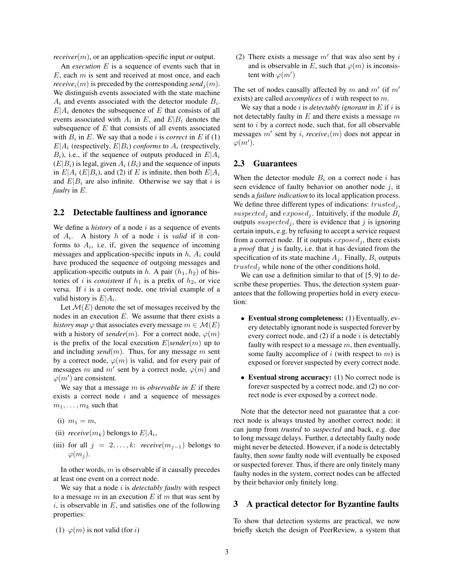*receiver*(*m*), or an application-specific input or output.

An *execution* E is a sequence of events such that in  $E$ , each  $m$  is sent and received at most once, and each *receive*<sub>i</sub> $(m)$  is preceded by the corresponding *send*<sub>i</sub> $(m)$ . We distinguish events associated with the state machine  $A_i$  and events associated with the detector module  $B_i$ .  $E|A_i$  denotes the subsequence of E that consists of all events associated with  $A_i$  in E, and  $E|B_i$  denotes the subsequence of  $E$  that consists of all events associated with  $B_i$  in E. We say that a node i is *correct* in E if (1)  $E|A_i$  (respectively,  $E|B_i$ ) *conforms* to  $A_i$  (respectively,  $B_i$ ), i.e., if the sequence of outputs produced in  $E|A_i$  $(E|B_i)$  is legal, given  $A_i$   $(B_i)$  and the sequence of inputs in  $E|A_i$  ( $E|B_i$ ), and (2) if E is infinite, then both  $E|A_i$ and  $E|B_i$  are also infinite. Otherwise we say that i is *faulty* in E.

### **2.2 Detectable faultiness and ignorance**

We define a *history* of a node i as a sequence of events of  $A_i$ . A history h of a node i is *valid* if it conforms to  $A_i$ , i.e. if, given the sequence of incoming messages and application-specific inputs in  $h$ ,  $A_i$  could have produced the sequence of outgoing messages and application-specific outputs in h. A pair  $(h_1, h_2)$  of histories of *i* is *consistent* if  $h_1$  is a prefix of  $h_2$ , or vice versa. If  $i$  is a correct node, one trivial example of a valid history is  $E|A_i$ .

Let  $\mathcal{M}(E)$  denote the set of messages received by the nodes in an execution  $E$ . We assume that there exists a *history map*  $\varphi$  that associates every message  $m \in \mathcal{M}(E)$ with a history of *sender*(m). For a correct node,  $\varphi(m)$ is the prefix of the local execution  $E|sender(m)$  up to and including *send* $(m)$ . Thus, for any message m sent by a correct node,  $\varphi(m)$  is valid, and for every pair of messages m and m' sent by a correct node,  $\varphi(m)$  and  $\varphi(m')$  are consistent.

We say that a message m is *observable in* E if there exists a correct node  $i$  and a sequence of messages  $m_1, \ldots, m_k$  such that

- (i)  $m_1 = m$ ,
- (ii)  $\text{receive}(m_k)$  belongs to  $E|A_i$ ,
- (iii) for all  $j = 2, \ldots, k$ : *receive* $(m_{i-1})$  belongs to  $\varphi(m_j)$ .

In other words,  $m$  is observable if it causally precedes at least one event on a correct node.

We say that a node i is *detectably faulty* with respect to a message  $m$  in an execution  $E$  if  $m$  that was sent by  $i$ , is observable in  $E$ , and satisfies one of the following properties:

(1) 
$$
\varphi(m)
$$
 is not valid (for *i*)

(2) There exists a message  $m'$  that was also sent by i and is observable in E, such that  $\varphi(m)$  is inconsistent with  $\varphi(m')$ 

The set of nodes causally affected by m and  $m'$  (if  $m'$ exists) are called *accomplices* of i with respect to m.

We say that a node i is *detectably ignorant* in E if i is not detectably faulty in  $E$  and there exists a message  $m$ sent to *i* by a correct node, such that, for all observable messages  $m'$  sent by i, receive<sub>i</sub> $(m)$  does not appear in  $\varphi(m')$ .

#### **2.3 Guarantees**

When the detector module  $B_i$  on a correct node i has seen evidence of faulty behavior on another node  $j$ , it sends a *failure indication* to its local application process. We define three different types of indications:  $trusted_j$ , suspected<sub>j</sub> and exposed<sub>j</sub>. Intuitively, if the module  $B_i$ outputs suspected<sub>i</sub>, there is evidence that j is ignoring certain inputs, e.g. by refusing to accept a service request from a correct node. If it outputs  $exposed_i$ , there exists a *proof* that j is faulty, i.e. that it has deviated from the specification of its state machine  $A_i$ . Finally,  $B_i$  outputs  $trusted<sub>j</sub>$  while none of the other conditions hold.

We can use a definition similar to that of [5, 9] to describe these properties. Thus, the detection system guarantees that the following properties hold in every execution:

- **Eventual strong completeness:** (1) Eventually, every detectably ignorant node is suspected forever by every correct node, and  $(2)$  if a node i is detectably faulty with respect to a message  $m$ , then eventually, some faulty accomplice of i (with respect to  $m$ ) is exposed or forever suspected by every correct node.
- **Eventual strong accuracy:** (1) No correct node is forever suspected by a correct node, and (2) no correct node is ever exposed by a correct node.

Note that the detector need not guarantee that a correct node is always trusted by another correct node; it can jump from *trusted* to *suspected* and back, e.g. due to long message delays. Further, a detectably faulty node might never be detected. However, if a node is detectably faulty, then *some* faulty node will eventually be exposed or suspected forever. Thus, if there are only finitely many faulty nodes in the system, correct nodes can be affected by their behavior only finitely long.

### **3 A practical detector for Byzantine faults**

To show that detection systems are practical, we now briefly sketch the design of PeerReview, a system that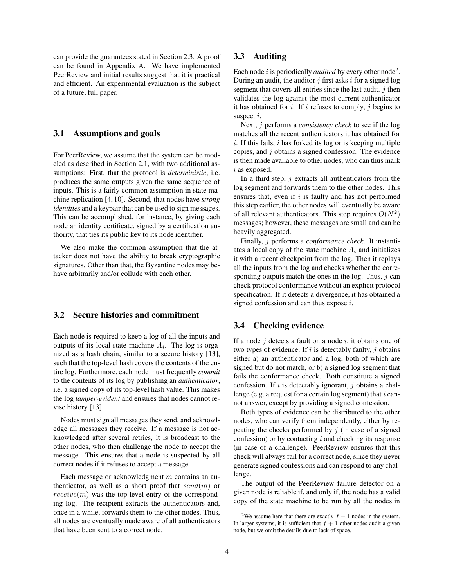can provide the guarantees stated in Section 2.3. A proof can be found in Appendix A. We have implemented PeerReview and initial results suggest that it is practical and efficient. An experimental evaluation is the subject of a future, full paper.

### **3.1 Assumptions and goals**

For PeerReview, we assume that the system can be modeled as described in Section 2.1, with two additional assumptions: First, that the protocol is *deterministic*, i.e. produces the same outputs given the same sequence of inputs. This is a fairly common assumption in state machine replication [4, 10]. Second, that nodes have *strong identities* and a keypair that can be used to sign messages. This can be accomplished, for instance, by giving each node an identity certificate, signed by a certification authority, that ties its public key to its node identifier.

We also make the common assumption that the attacker does not have the ability to break cryptographic signatures. Other than that, the Byzantine nodes may behave arbitrarily and/or collude with each other.

### **3.2 Secure histories and commitment**

Each node is required to keep a log of all the inputs and outputs of its local state machine  $A_i$ . The log is organized as a hash chain, similar to a secure history [13], such that the top-level hash covers the contents of the entire log. Furthermore, each node must frequently *commit* to the contents of its log by publishing an *authenticator*, i.e. a signed copy of its top-level hash value. This makes the log *tamper-evident* and ensures that nodes cannot revise history [13].

Nodes must sign all messages they send, and acknowledge all messages they receive. If a message is not acknowledged after several retries, it is broadcast to the other nodes, who then challenge the node to accept the message. This ensures that a node is suspected by all correct nodes if it refuses to accept a message.

Each message or acknowledgment  $m$  contains an authenticator, as well as a short proof that  $send(m)$  or  $receive(m)$  was the top-level entry of the corresponding log. The recipient extracts the authenticators and, once in a while, forwards them to the other nodes. Thus, all nodes are eventually made aware of all authenticators that have been sent to a correct node.

# **3.3 Auditing**

Each node  $i$  is periodically *audited* by every other node<sup>2</sup>. During an audit, the auditor  $j$  first asks  $i$  for a signed log segment that covers all entries since the last audit.  $j$  then validates the log against the most current authenticator it has obtained for i. If i refuses to comply, j begins to suspect *i*.

Next, j performs a *consistency check* to see if the log matches all the recent authenticators it has obtained for  $i$ . If this fails,  $i$  has forked its log or is keeping multiple copies, and j obtains a signed confession. The evidence is then made available to other nodes, who can thus mark i as exposed.

In a third step,  $j$  extracts all authenticators from the log segment and forwards them to the other nodes. This ensures that, even if  $i$  is faulty and has not performed this step earlier, the other nodes will eventually be aware of all relevant authenticators. This step requires  $O(N^2)$ messages; however, these messages are small and can be heavily aggregated.

Finally, j performs a *conformance check*. It instantiates a local copy of the state machine  $A_i$  and initializes it with a recent checkpoint from the log. Then it replays all the inputs from the log and checks whether the corresponding outputs match the ones in the log. Thus,  $j$  can check protocol conformance without an explicit protocol specification. If it detects a divergence, it has obtained a signed confession and can thus expose i.

# **3.4 Checking evidence**

If a node  $j$  detects a fault on a node  $i$ , it obtains one of two types of evidence. If  $i$  is detectably faulty,  $j$  obtains either a) an authenticator and a log, both of which are signed but do not match, or b) a signed log segment that fails the conformance check. Both constitute a signed confession. If  $i$  is detectably ignorant,  $j$  obtains a challenge (e.g. a request for a certain log segment) that  $i$  cannot answer, except by providing a signed confession.

Both types of evidence can be distributed to the other nodes, who can verify them independently, either by repeating the checks performed by  $j$  (in case of a signed confession) or by contacting  $i$  and checking its response (in case of a challenge). PeerReview ensures that this check will always fail for a correct node, since they never generate signed confessions and can respond to any challenge.

The output of the PeerReview failure detector on a given node is reliable if, and only if, the node has a valid copy of the state machine to be run by all the nodes in

<sup>&</sup>lt;sup>2</sup>We assume here that there are exactly  $f + 1$  nodes in the system. In larger systems, it is sufficient that  $f + 1$  other nodes audit a given node, but we omit the details due to lack of space.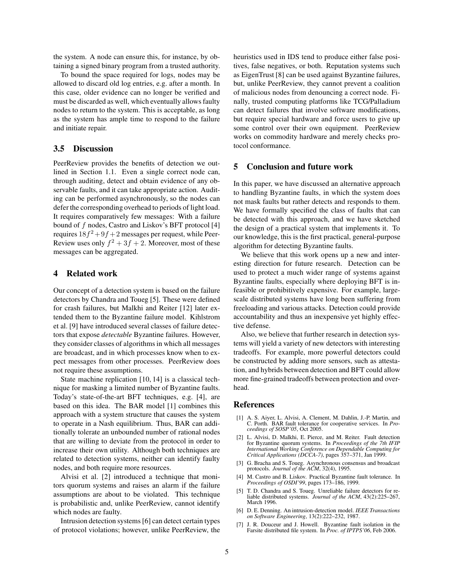the system. A node can ensure this, for instance, by obtaining a signed binary program from a trusted authority.

To bound the space required for logs, nodes may be allowed to discard old log entries, e.g. after a month. In this case, older evidence can no longer be verified and must be discarded as well, which eventually allows faulty nodes to return to the system. This is acceptable, as long as the system has ample time to respond to the failure and initiate repair.

### **3.5 Discussion**

PeerReview provides the benefits of detection we outlined in Section 1.1. Even a single correct node can, through auditing, detect and obtain evidence of any observable faults, and it can take appropriate action. Auditing can be performed asynchronously, so the nodes can defer the corresponding overhead to periods of light load. It requires comparatively few messages: With a failure bound of f nodes, Castro and Liskov's BFT protocol [4] requires  $18f^2+9f+2$  messages per request, while Peer-Review uses only  $f^2 + 3f + 2$ . Moreover, most of these messages can be aggregated.

### **4 Related work**

Our concept of a detection system is based on the failure detectors by Chandra and Toueg [5]. These were defined for crash failures, but Malkhi and Reiter [12] later extended them to the Byzantine failure model. Kihlstrom et al. [9] have introduced several classes of failure detectors that expose *detectable* Byzantine failures. However, they consider classes of algorithms in which all messages are broadcast, and in which processes know when to expect messages from other processes. PeerReview does not require these assumptions.

State machine replication [10, 14] is a classical technique for masking a limited number of Byzantine faults. Today's state-of-the-art BFT techniques, e.g. [4], are based on this idea. The BAR model [1] combines this approach with a system structure that causes the system to operate in a Nash equilibrium. Thus, BAR can additionally tolerate an unbounded number of rational nodes that are willing to deviate from the protocol in order to increase their own utility. Although both techniques are related to detection systems, neither can identify faulty nodes, and both require more resources.

Alvisi et al. [2] introduced a technique that monitors quorum systems and raises an alarm if the failure assumptions are about to be violated. This technique is probabilistic and, unlike PeerReview, cannot identify which nodes are faulty.

Intrusion detection systems [6] can detect certain types of protocol violations; however, unlike PeerReview, the heuristics used in IDS tend to produce either false positives, false negatives, or both. Reputation systems such as EigenTrust [8] can be used against Byzantine failures, but, unlike PeerReview, they cannot prevent a coalition of malicious nodes from denouncing a correct node. Finally, trusted computing platforms like TCG/Palladium can detect failures that involve software modifications, but require special hardware and force users to give up some control over their own equipment. PeerReview works on commodity hardware and merely checks protocol conformance.

# **5 Conclusion and future work**

In this paper, we have discussed an alternative approach to handling Byzantine faults, in which the system does not mask faults but rather detects and responds to them. We have formally specified the class of faults that can be detected with this approach, and we have sketched the design of a practical system that implements it. To our knowledge, this is the first practical, general-purpose algorithm for detecting Byzantine faults.

We believe that this work opens up a new and interesting direction for future research. Detection can be used to protect a much wider range of systems against Byzantine faults, especially where deploying BFT is infeasible or prohibitively expensive. For example, largescale distributed systems have long been suffering from freeloading and various attacks. Detection could provide accountability and thus an inexpensive yet highly effective defense.

Also, we believe that further research in detection systems will yield a variety of new detectors with interesting tradeoffs. For example, more powerful detectors could be constructed by adding more sensors, such as attestation, and hybrids between detection and BFT could allow more fine-grained tradeoffs between protection and overhead.

#### **References**

- [1] A. S. Aiyer, L. Alvisi, A. Clement, M. Dahlin, J.-P. Martin, and C. Porth. BAR fault tolerance for cooperative services. In *Proceedings of SOSP'05*, Oct 2005.
- [2] L. Alvisi, D. Malkhi, E. Pierce, and M. Reiter. Fault detection for Byzantine quorum systems. In *Proceedings of the 7th IFIP International Working Conference on Dependable Computing for Critical Applications (DCCA-7)*, pages 357–371, Jan 1999.
- [3] G. Bracha and S. Toueg. Asynchronous consensus and broadcast protocols. *Journal of the ACM*, 32(4), 1995.
- [4] M. Castro and B. Liskov. Practical Byzantine fault tolerance. In *Proceedings of OSDI'99*, pages 173–186, 1999.
- [5] T. D. Chandra and S. Toueg. Unreliable failure detectors for re-liable distributed systems. *Journal of the ACM*, 43(2):225–267, March 1996.
- [6] D. E. Denning. An intrusion-detection model. *IEEE Transactions on Software Engineering*, 13(2):222–232, 1987.
- [7] J. R. Douceur and J. Howell. Byzantine fault isolation in the Farsite distributed file system. In *Proc. of IPTPS'06*, Feb 2006.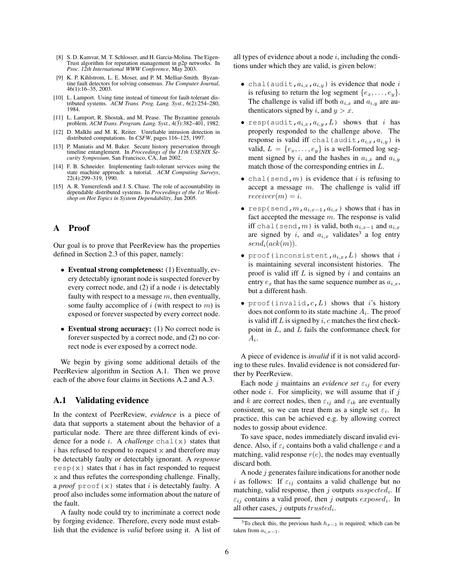- [8] S. D. Kamvar, M. T. Schlosser, and H. Garcia-Molina. The Eigen-Trust algorithm for reputation management in p2p networks. In *Proc. 12th International WWW Conference*, May 2003.
- [9] K. P. Kihlstrom, L. E. Moser, and P. M. Melliar-Smith. Byzantine fault detectors for solving consensus. *The Computer Journal*, 46(1):16–35, 2003.
- [10] L. Lamport. Using time instead of timeout for fault-tolerant distributed systems. *ACM Trans. Prog. Lang. Syst.*, 6(2):254–280, 1984.
- [11] L. Lamport, R. Shostak, and M. Pease. The Byzantine generals problem. *ACM Trans. Program. Lang. Syst.*, 4(3):382–401, 1982.
- [12] D. Malkhi and M. K. Reiter. Unreliable intrusion detection in distributed computations. In *CSFW*, pages 116–125, 1997.
- [13] P. Maniatis and M. Baker. Secure history preservation through timeline entanglement. In *Proceedings of the 11th USENIX Security Symposium*, San Francisco, CA, Jan 2002.
- [14] F. B. Schneider. Implementing fault-tolerant services using the state machine approach: a tutorial. *ACM Computing Surveys*, 22(4):299–319, 1990.
- [15] A. R. Yumerefendi and J. S. Chase. The role of accountability in dependable distributed systems. In *Proceedings of the 1st Workshop on Hot Topics in System Dependability*, Jun 2005.

# **A Proof**

Our goal is to prove that PeerReview has the properties defined in Section 2.3 of this paper, namely:

- **Eventual strong completeness:** (1) Eventually, every detectably ignorant node is suspected forever by every correct node, and  $(2)$  if a node i is detectably faulty with respect to a message  $m$ , then eventually, some faulty accomplice of  $i$  (with respect to  $m$ ) is exposed or forever suspected by every correct node.
- **Eventual strong accuracy:** (1) No correct node is forever suspected by a correct node, and (2) no correct node is ever exposed by a correct node.

We begin by giving some additional details of the PeerReview algorithm in Section A.1. Then we prove each of the above four claims in Sections A.2 and A.3.

#### **A.1 Validating evidence**

In the context of PeerReview, *evidence* is a piece of data that supports a statement about the behavior of a particular node. There are three different kinds of evidence for a node i. A *challenge* chal(x) states that  $i$  has refused to respond to request x and therefore may be detectably faulty or detectably ignorant. A *response*  $resp(x)$  states that i has in fact responded to request x and thus refutes the corresponding challenge. Finally, a *proof* proof(x) states that i is detectably faulty. A proof also includes some information about the nature of the fault.

A faulty node could try to incriminate a correct node by forging evidence. Therefore, every node must establish that the evidence is *valid* before using it. A list of all types of evidence about a node  $i$ , including the conditions under which they are valid, is given below:

- chal(audit, $a_{i,x}$ , $a_{i,y}$ ) is evidence that node i is refusing to return the log segment  $\{e_x, \ldots, e_y\}.$ The challenge is valid iff both  $a_{i,x}$  and  $a_{i,y}$  are authenticators signed by i, and  $y > x$ .
- resp(audit, $a_{i,x}$ , $a_{i,y}$ , $L$ ) shows that i has properly responded to the challenge above. The response is valid iff chal(audit, $a_{i,x}$ , $a_{i,y}$ ) is valid,  $L = \{e_x, \ldots, e_y\}$  is a well-formed log segment signed by i, and the hashes in  $a_{i,x}$  and  $a_{i,y}$ match those of the corresponding entries in L.
- chal(send,  $m$ ) is evidence that i is refusing to accept a message  $m$ . The challenge is valid iff  $receiver(m) = i.$
- resp(send, $m, a_{i,x-1}, a_{i,x}$ ) shows that i has in fact accepted the message  $m$ . The response is valid iff chal(send,m) is valid, both  $a_{i,x-1}$  and  $a_{i,x}$ are signed by i, and  $a_{i,x}$  validates<sup>3</sup> a log entry  $send_i(ack(m)).$
- proof(inconsistent, $a_{i,x}$ , $L$ ) shows that i is maintaining several inconsistent histories. The proof is valid iff  $L$  is signed by  $i$  and contains an entry  $e_x$  that has the same sequence number as  $a_{i,x}$ , but a different hash.
- proof(invalid,  $c, L$ ) shows that i's history does not conform to its state machine  $A_i$ . The proof is valid iff  $L$  is signed by  $i$ ,  $c$  matches the first checkpoint in  $L$ , and  $L$  fails the conformance check for  $A_i$ .

A piece of evidence is *invalid* if it is not valid according to these rules. Invalid evidence is not considered further by PeerReview.

Each node j maintains an *evidence* set  $\varepsilon_{ij}$  for every other node  $i$ . For simplicity, we will assume that if  $j$ and k are correct nodes, then  $\varepsilon_{ij}$  and  $\varepsilon_{ik}$  are eventually consistent, so we can treat them as a single set  $\varepsilon_i$ . In practice, this can be achieved e.g. by allowing correct nodes to gossip about evidence.

To save space, nodes immediately discard invalid evidence. Also, if  $\varepsilon_i$  contains both a valid challenge c and a matching, valid response  $r(c)$ , the nodes may eventually discard both.

A node  $j$  generates failure indications for another node i as follows: If  $\varepsilon_{ij}$  contains a valid challenge but no matching, valid response, then  $j$  outputs  $suspected_i$ . If  $\varepsilon_{ij}$  contains a valid proof, then j outputs  $exposed_i$ . In all other cases,  $j$  outputs  $trusted_i$ .

<sup>&</sup>lt;sup>3</sup>To check this, the previous hash  $h_{x-1}$  is required, which can be taken from  $a_{i,x-1}$ .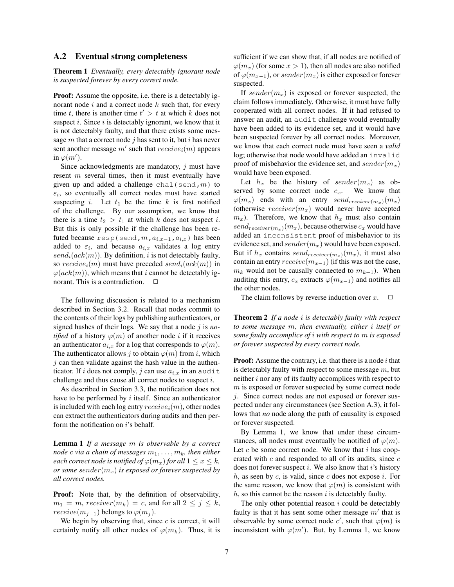### **A.2 Eventual strong completeness**

**Theorem 1** *Eventually, every detectably ignorant node is suspected forever by every correct node.*

**Proof:** Assume the opposite, i.e. there is a detectably ignorant node  $i$  and a correct node  $k$  such that, for every time t, there is another time  $t' > t$  at which k does not suspect  $i$ . Since  $i$  is detectably ignorant, we know that it is not detectably faulty, and that there exists some message  $m$  that a correct node  $j$  has sent to it, but  $i$  has never sent another message  $m'$  such that  $receive_i(m)$  appears in  $\varphi(m')$ .

Since acknowledgments are mandatory,  $j$  must have resent  $m$  several times, then it must eventually have given up and added a challenge chal(send, $m$ ) to  $\varepsilon_i$ , so eventually all correct nodes must have started suspecting i. Let  $t_1$  be the time k is first notified of the challenge. By our assumption, we know that there is a time  $t_2 > t_1$  at which k does not suspect i. But this is only possible if the challenge has been refuted because resp(send,  $m$ ,  $a_{i,x-1}$ ,  $a_{i,x}$ ) has been added to  $\varepsilon_i$ , and because  $a_{i,x}$  validates a log entry  $send_i(ack(m))$ . By definition, *i* is not detectably faulty, so  $receive_i(m)$  must have preceded  $send_i(ack(m))$  in  $\varphi(ack(m))$ , which means that i cannot be detectably ignorant. This is a contradiction.  $\Box$ 

The following discussion is related to a mechanism described in Section 3.2. Recall that nodes commit to the contents of their logs by publishing authenticators, or signed hashes of their logs. We say that a node j is *notified* of a history  $\varphi(m)$  of another node *i* if it receives an authenticator  $a_{i,x}$  for a log that corresponds to  $\varphi(m)$ . The authenticator allows j to obtain  $\varphi(m)$  from i, which  $j$  can then validate against the hash value in the authenticator. If i does not comply, j can use  $a_{i,x}$  in an audit challenge and thus cause all correct nodes to suspect i.

As described in Section 3.3, the notification does not have to be performed by  $i$  itself. Since an authenticator is included with each log entry  $receive_i(m)$ , other nodes can extract the authenticators during audits and then perform the notification on i's behalf.

**Lemma 1** *If a message* m *is observable by a correct node c via a chain of messages*  $m_1, \ldots, m_k$ *, then either each correct node is notified of*  $\varphi(m_x)$  *for all*  $1 \leq x \leq k$ *, or some*  ${sender}(m_x)$  *is exposed or forever suspected by all correct nodes.*

**Proof:** Note that, by the definition of observability,  $m_1 = m$ , receiver $(m_k) = c$ , and for all  $2 \leq j \leq k$ ,  $receive(m_{i-1})$  belongs to  $\varphi(m_i)$ .

We begin by observing that, since  $c$  is correct, it will certainly notify all other nodes of  $\varphi(m_k)$ . Thus, it is sufficient if we can show that, if all nodes are notified of  $\varphi(m_x)$  (for some  $x > 1$ ), then all nodes are also notified of  $\varphi(m_{x-1})$ , or sender $(m_x)$  is either exposed or forever suspected.

If sender( $m<sub>x</sub>$ ) is exposed or forever suspected, the claim follows immediately. Otherwise, it must have fully cooperated with all correct nodes. If it had refused to answer an audit, an audit challenge would eventually have been added to its evidence set, and it would have been suspected forever by all correct nodes. Moreover, we know that each correct node must have seen a *valid* log; otherwise that node would have added an invalid proof of misbehavior the evidence set, and  $sender(m_x)$ would have been exposed.

Let  $h_x$  be the history of sender( $m_x$ ) as observed by some correct node  $c_x$ . We know that  $\varphi(m_x)$  ends with an entry  $send_{receiver(m_x)}(m_x)$ (otherwise  $receiver(m_x)$  would never have accepted  $m<sub>x</sub>$ ). Therefore, we know that  $h<sub>x</sub>$  must also contain  $send_{receiver(m_x)}(m_x)$ , because otherwise  $c_x$  would have added an inconsistent proof of misbehavior to its evidence set, and  $sender(m_x)$  would have been exposed. But if  $h_x$  contains  $send_{receiver(m_x)}(m_x)$ , it must also contain an entry  $receive(m_{x-1})$  (if this was not the case,  $m_k$  would not be causally connected to  $m_{k-1}$ ). When auditing this entry,  $c_x$  extracts  $\varphi(m_{x-1})$  and notifies all the other nodes.

The claim follows by reverse induction over  $x$ .  $\Box$ 

**Theorem 2** *If a node* i *is detectably faulty with respect to some message* m*, then eventually, either* i *itself or some faulty accomplice of* i *with respect to* m *is exposed or forever suspected by every correct node.*

**Proof:** Assume the contrary, i.e. that there is a node i that is detectably faulty with respect to some message  $m$ , but neither i nor any of its faulty accomplices with respect to  $m$  is exposed or forever suspected by some correct node j. Since correct nodes are not exposed or forever suspected under any circumstances (see Section A.3), it follows that *no* node along the path of causality is exposed or forever suspected.

By Lemma 1, we know that under these circumstances, all nodes must eventually be notified of  $\varphi(m)$ . Let c be some correct node. We know that  $i$  has cooperated with  $c$  and responded to all of its audits, since  $c$ does not forever suspect i. We also know that i's history  $h$ , as seen by  $c$ , is valid, since  $c$  does not expose  $i$ . For the same reason, we know that  $\varphi(m)$  is consistent with  $h$ , so this cannot be the reason i is detectably faulty.

The only other potential reason  $i$  could be detectably faulty is that it has sent some other message  $m'$  that is observable by some correct node c', such that  $\varphi(m)$  is inconsistent with  $\varphi(m')$ . But, by Lemma 1, we know